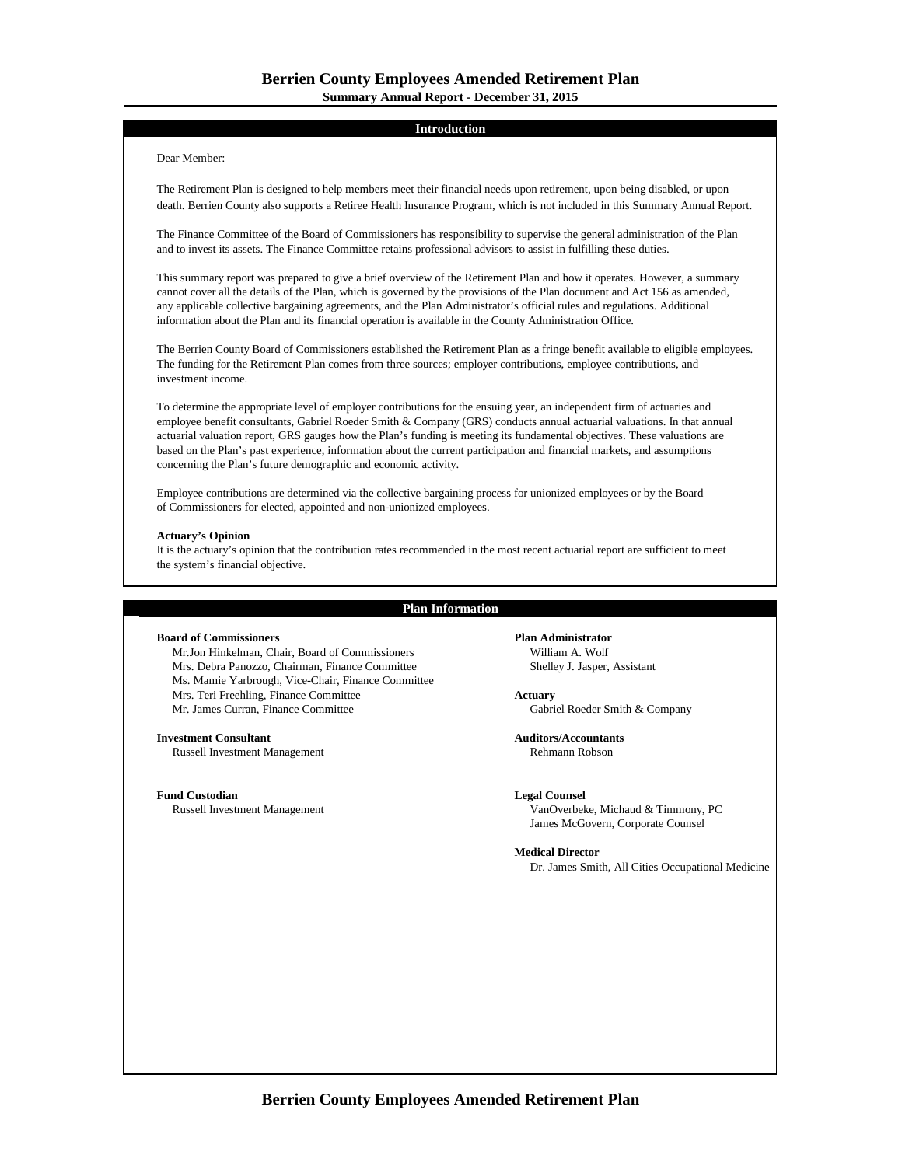# **Introduction**

# Dear Member:

The Retirement Plan is designed to help members meet their financial needs upon retirement, upon being disabled, or upon death. Berrien County also supports a Retiree Health Insurance Program, which is not included in this Summary Annual Report.

The Finance Committee of the Board of Commissioners has responsibility to supervise the general administration of the Plan and to invest its assets. The Finance Committee retains professional advisors to assist in fulfilling these duties.

This summary report was prepared to give a brief overview of the Retirement Plan and how it operates. However, a summary cannot cover all the details of the Plan, which is governed by the provisions of the Plan document and Act 156 as amended, any applicable collective bargaining agreements, and the Plan Administrator's official rules and regulations. Additional information about the Plan and its financial operation is available in the County Administration Office.

The Berrien County Board of Commissioners established the Retirement Plan as a fringe benefit available to eligible employees. The funding for the Retirement Plan comes from three sources; employer contributions, employee contributions, and investment income.

To determine the appropriate level of employer contributions for the ensuing year, an independent firm of actuaries and employee benefit consultants, Gabriel Roeder Smith & Company (GRS) conducts annual actuarial valuations. In that annual actuarial valuation report, GRS gauges how the Plan's funding is meeting its fundamental objectives. These valuations are based on the Plan's past experience, information about the current participation and financial markets, and assumptions concerning the Plan's future demographic and economic activity.

Employee contributions are determined via the collective bargaining process for unionized employees or by the Board of Commissioners for elected, appointed and non-unionized employees.

# **Actuary's Opinion**

It is the actuary's opinion that the contribution rates recommended in the most recent actuarial report are sufficient to meet the system's financial objective.

# **Plan Information**

# **Board of Commissioners Plan Administrator**

Mr.Jon Hinkelman, Chair, Board of Commissioners William A. Wolf Mrs. Debra Panozzo, Chairman, Finance Committee Shelley J. Jasper, Assistant Ms. Mamie Yarbrough, Vice-Chair, Finance Committee Mrs. Teri Freehling, Finance Committee **Actuary** Mr. James Curran, Finance Committee Gabriel Roeder Smith & Company

# **Investment Consultant Auditors/Accountants**

Russell Investment Management **Rehmann Robson** Rehmann Robson

**Fund Custodian Legal Counsel**

VanOverbeke, Michaud & Timmony, PC James McGovern, Corporate Counsel

**Medical Director**

Dr. James Smith, All Cities Occupational Medicine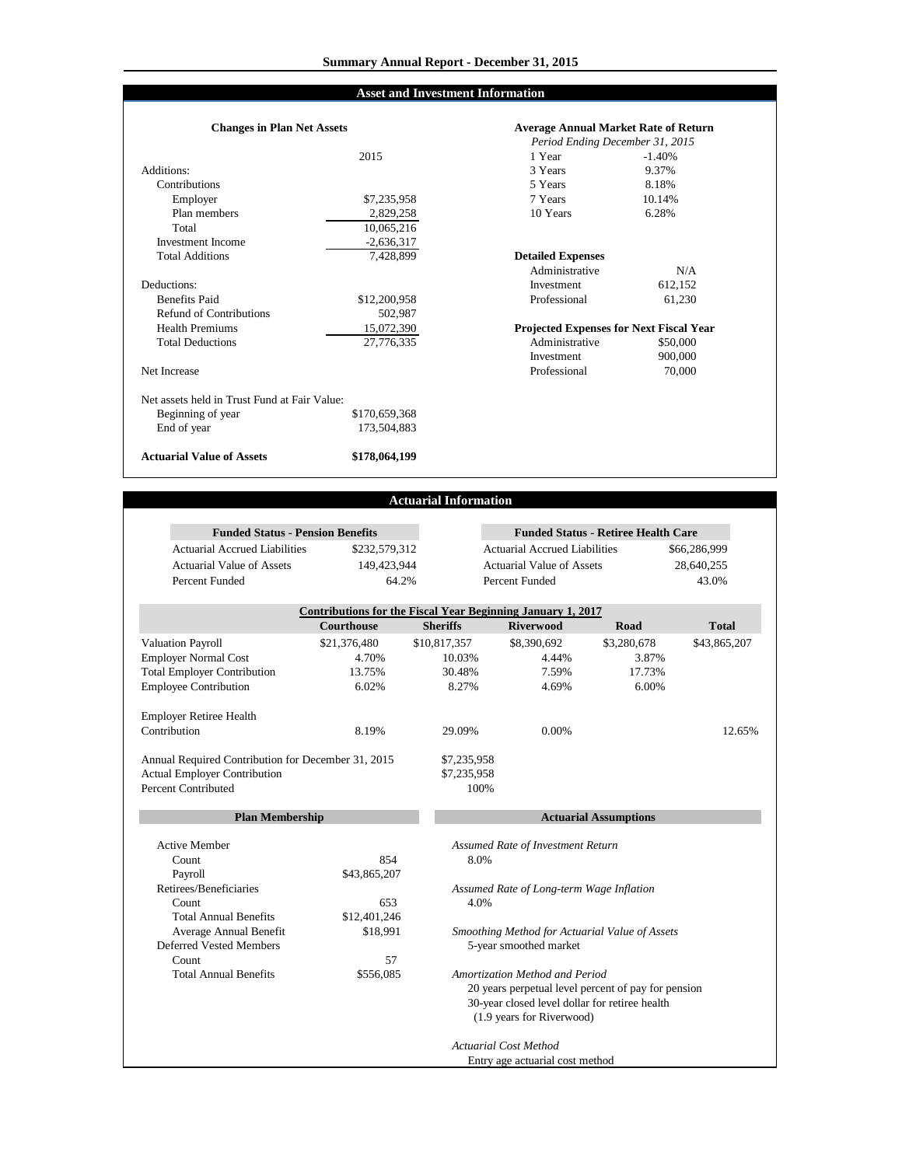# **Asset and Investment Information**

### Additions: 3 Years Contributions<br>Employer Employer 10.14% 57,235,958 7 Years 10.14% Plan members Total Investment Income **Total Additions** Deductions: Benefits Paid Refund of Contributions **Health Premiums** Total Deductions Net Increase Net assets held in Trust Fund at Fair Value: Beginning of year End of year **Actuarial Value of Assets Changes in Plan Net Assets** 502,987 2,829,258 10,065,216 -2,636,317 7,428,899 \$12,200,958 15,072,390 27,776,335 \$170,659,368 173,504,883 **\$178,064,199**

|              | <b>Average Annual Market Rate of Return</b>    |          |  |
|--------------|------------------------------------------------|----------|--|
|              | Period Ending December 31, 2015                |          |  |
| 2015         | 1 Year                                         | $-1.40%$ |  |
|              | 3 Years                                        | 9.37%    |  |
|              | 5 Years                                        | 8.18%    |  |
| \$7,235,958  | 7 Years                                        | 10.14%   |  |
| 2,829,258    | 10 Years                                       | 6.28%    |  |
| 10,065,216   |                                                |          |  |
| $-2,636,317$ |                                                |          |  |
| 7.428.899    | <b>Detailed Expenses</b>                       |          |  |
|              | Administrative                                 | N/A      |  |
|              | Investment                                     | 612,152  |  |
| \$12,200,958 | Professional                                   | 61,230   |  |
| 502,987      |                                                |          |  |
| 15,072,390   | <b>Projected Expenses for Next Fiscal Year</b> |          |  |
| 27,776,335   | Administrative                                 | \$50,000 |  |
|              | Investment                                     | 900,000  |  |
|              | Professional                                   | 70,000   |  |
|              |                                                |          |  |
|              |                                                |          |  |
| 170,659,368  |                                                |          |  |
| 172 F N 1002 |                                                |          |  |

# **Actuarial Information**

| <b>Funded Status - Pension Benefits</b>                    |                   |                                                     |                                                             | <b>Funded Status - Retiree Health Care</b> |              |
|------------------------------------------------------------|-------------------|-----------------------------------------------------|-------------------------------------------------------------|--------------------------------------------|--------------|
| <b>Actuarial Accrued Liabilities</b>                       | \$232,579,312     |                                                     | <b>Actuarial Accrued Liabilities</b>                        |                                            | \$66,286,999 |
| <b>Actuarial Value of Assets</b>                           | 149,423,944       |                                                     | <b>Actuarial Value of Assets</b>                            |                                            | 28,640,255   |
| Percent Funded                                             | 64.2%             |                                                     | Percent Funded                                              |                                            | 43.0%        |
|                                                            |                   |                                                     | Contributions for the Fiscal Year Beginning January 1, 2017 |                                            |              |
|                                                            | <b>Courthouse</b> | <b>Sheriffs</b>                                     | <b>Riverwood</b>                                            | Road                                       | <b>Total</b> |
| <b>Valuation Payroll</b>                                   | \$21,376,480      | \$10,817,357                                        | \$8,390,692                                                 | \$3,280,678                                | \$43,865,207 |
| <b>Employer Normal Cost</b>                                | 4.70%             | 10.03%                                              | 4.44%                                                       | 3.87%                                      |              |
| <b>Total Employer Contribution</b>                         | 13.75%            | 30.48%                                              | 7.59%                                                       | 17.73%                                     |              |
| <b>Employee Contribution</b>                               | 6.02%             | 8.27%                                               | 4.69%                                                       | 6.00%                                      |              |
| <b>Employer Retiree Health</b>                             |                   |                                                     |                                                             |                                            |              |
| Contribution                                               | 8.19%             | 29.09%                                              | 0.00%                                                       |                                            | 12.65%       |
| Annual Required Contribution for December 31, 2015         |                   | \$7,235,958                                         |                                                             |                                            |              |
| <b>Actual Employer Contribution</b><br>Percent Contributed |                   | \$7,235,958<br>100%                                 |                                                             |                                            |              |
|                                                            |                   |                                                     |                                                             |                                            |              |
| <b>Plan Membership</b>                                     |                   |                                                     |                                                             | <b>Actuarial Assumptions</b>               |              |
| <b>Active Member</b>                                       |                   |                                                     | Assumed Rate of Investment Return                           |                                            |              |
| Count                                                      | 854               | 8.0%                                                |                                                             |                                            |              |
| Payroll                                                    | \$43,865,207      |                                                     |                                                             |                                            |              |
| Retirees/Beneficiaries                                     |                   |                                                     | Assumed Rate of Long-term Wage Inflation                    |                                            |              |
| Count                                                      | 653               | 4.0%                                                |                                                             |                                            |              |
| <b>Total Annual Benefits</b>                               | \$12,401,246      |                                                     |                                                             |                                            |              |
| Average Annual Benefit                                     | \$18,991          |                                                     | Smoothing Method for Actuarial Value of Assets              |                                            |              |
| <b>Deferred Vested Members</b>                             |                   |                                                     | 5-year smoothed market                                      |                                            |              |
| Count                                                      | 57                |                                                     |                                                             |                                            |              |
| <b>Total Annual Benefits</b>                               | \$556,085         |                                                     | Amortization Method and Period                              |                                            |              |
|                                                            |                   | 20 years perpetual level percent of pay for pension |                                                             |                                            |              |
|                                                            |                   |                                                     | 30-year closed level dollar for retiree health              |                                            |              |
|                                                            |                   |                                                     | (1.9 years for Riverwood)                                   |                                            |              |
|                                                            |                   |                                                     | <b>Actuarial Cost Method</b>                                |                                            |              |
|                                                            |                   |                                                     | Entry age actuarial cost method                             |                                            |              |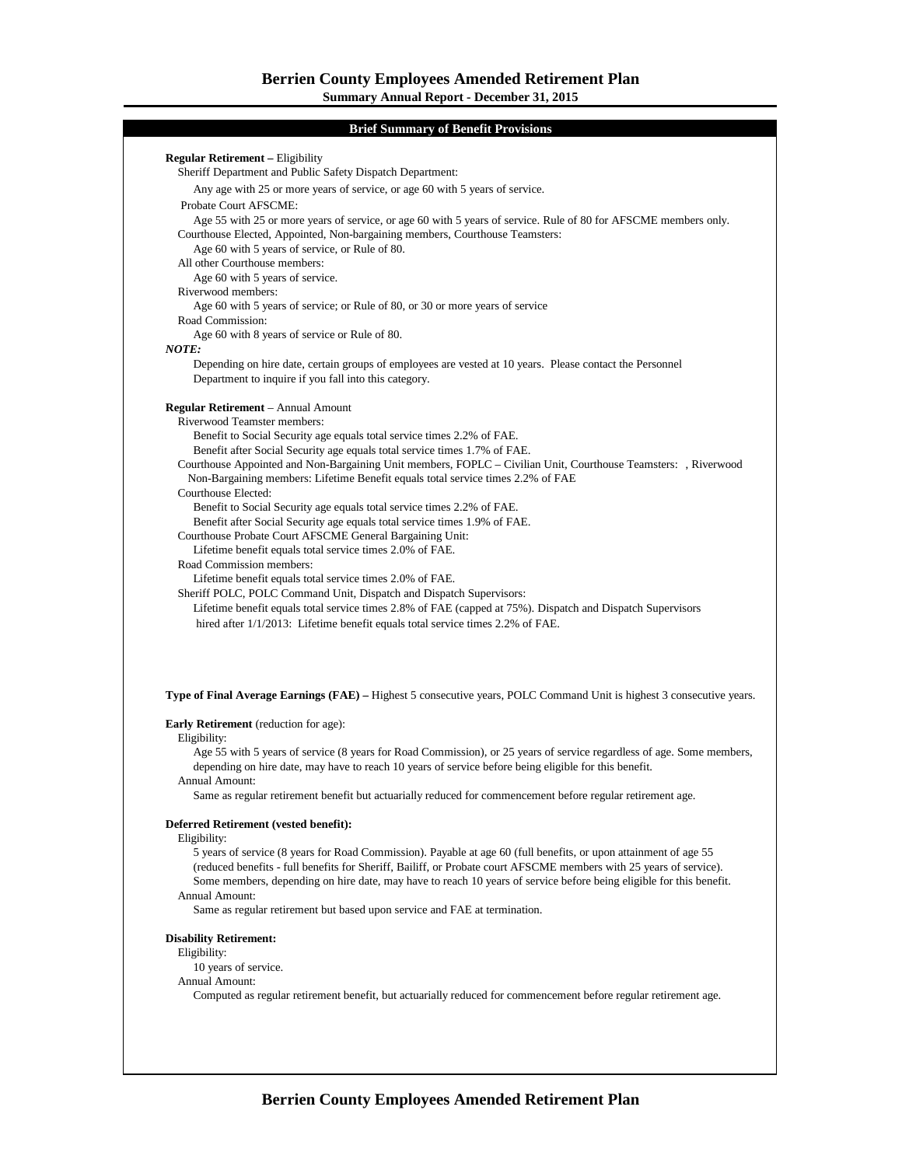# **Brief Summary of Benefit Provisions**

|                                                                                                                                | Any age with 25 or more years of service, or age 60 with 5 years of service.                                                                                                                                                                   |  |  |  |  |
|--------------------------------------------------------------------------------------------------------------------------------|------------------------------------------------------------------------------------------------------------------------------------------------------------------------------------------------------------------------------------------------|--|--|--|--|
| Probate Court AFSCME:                                                                                                          |                                                                                                                                                                                                                                                |  |  |  |  |
|                                                                                                                                | Age 55 with 25 or more years of service, or age 60 with 5 years of service. Rule of 80 for AFSCME members only.                                                                                                                                |  |  |  |  |
| Courthouse Elected, Appointed, Non-bargaining members, Courthouse Teamsters:<br>Age 60 with 5 years of service, or Rule of 80. |                                                                                                                                                                                                                                                |  |  |  |  |
|                                                                                                                                | All other Courthouse members:                                                                                                                                                                                                                  |  |  |  |  |
|                                                                                                                                | Age 60 with 5 years of service.                                                                                                                                                                                                                |  |  |  |  |
| Riverwood members:                                                                                                             |                                                                                                                                                                                                                                                |  |  |  |  |
|                                                                                                                                | Age 60 with 5 years of service; or Rule of 80, or 30 or more years of service                                                                                                                                                                  |  |  |  |  |
| Road Commission:                                                                                                               |                                                                                                                                                                                                                                                |  |  |  |  |
|                                                                                                                                | Age 60 with 8 years of service or Rule of 80.                                                                                                                                                                                                  |  |  |  |  |
| NOTE:                                                                                                                          |                                                                                                                                                                                                                                                |  |  |  |  |
|                                                                                                                                | Depending on hire date, certain groups of employees are vested at 10 years. Please contact the Personnel                                                                                                                                       |  |  |  |  |
|                                                                                                                                | Department to inquire if you fall into this category.                                                                                                                                                                                          |  |  |  |  |
|                                                                                                                                | <b>Regular Retirement</b> – Annual Amount                                                                                                                                                                                                      |  |  |  |  |
|                                                                                                                                | Riverwood Teamster members:                                                                                                                                                                                                                    |  |  |  |  |
|                                                                                                                                | Benefit to Social Security age equals total service times 2.2% of FAE.                                                                                                                                                                         |  |  |  |  |
|                                                                                                                                | Benefit after Social Security age equals total service times 1.7% of FAE.                                                                                                                                                                      |  |  |  |  |
|                                                                                                                                | Courthouse Appointed and Non-Bargaining Unit members, FOPLC – Civilian Unit, Courthouse Teamsters: , Riverwood                                                                                                                                 |  |  |  |  |
|                                                                                                                                | Non-Bargaining members: Lifetime Benefit equals total service times 2.2% of FAE                                                                                                                                                                |  |  |  |  |
| Courthouse Elected:                                                                                                            |                                                                                                                                                                                                                                                |  |  |  |  |
|                                                                                                                                | Benefit to Social Security age equals total service times 2.2% of FAE.                                                                                                                                                                         |  |  |  |  |
|                                                                                                                                | Benefit after Social Security age equals total service times 1.9% of FAE.                                                                                                                                                                      |  |  |  |  |
|                                                                                                                                | Courthouse Probate Court AFSCME General Bargaining Unit:                                                                                                                                                                                       |  |  |  |  |
|                                                                                                                                | Lifetime benefit equals total service times 2.0% of FAE.                                                                                                                                                                                       |  |  |  |  |
|                                                                                                                                | Road Commission members:                                                                                                                                                                                                                       |  |  |  |  |
|                                                                                                                                | Lifetime benefit equals total service times 2.0% of FAE.                                                                                                                                                                                       |  |  |  |  |
|                                                                                                                                | Sheriff POLC, POLC Command Unit, Dispatch and Dispatch Supervisors:                                                                                                                                                                            |  |  |  |  |
|                                                                                                                                | Lifetime benefit equals total service times 2.8% of FAE (capped at 75%). Dispatch and Dispatch Supervisors                                                                                                                                     |  |  |  |  |
|                                                                                                                                | hired after 1/1/2013: Lifetime benefit equals total service times 2.2% of FAE.                                                                                                                                                                 |  |  |  |  |
|                                                                                                                                |                                                                                                                                                                                                                                                |  |  |  |  |
|                                                                                                                                |                                                                                                                                                                                                                                                |  |  |  |  |
|                                                                                                                                | <b>Early Retirement</b> (reduction for age):                                                                                                                                                                                                   |  |  |  |  |
| Eligibility:                                                                                                                   |                                                                                                                                                                                                                                                |  |  |  |  |
|                                                                                                                                |                                                                                                                                                                                                                                                |  |  |  |  |
|                                                                                                                                | depending on hire date, may have to reach 10 years of service before being eligible for this benefit.                                                                                                                                          |  |  |  |  |
| <b>Annual Amount:</b>                                                                                                          | Type of Final Average Earnings (FAE) – Highest 5 consecutive years, POLC Command Unit is highest 3 consecutive years.<br>Age 55 with 5 years of service (8 years for Road Commission), or 25 years of service regardless of age. Some members, |  |  |  |  |
|                                                                                                                                | Same as regular retirement benefit but actuarially reduced for commencement before regular retirement age.                                                                                                                                     |  |  |  |  |
|                                                                                                                                | Deferred Retirement (vested benefit):                                                                                                                                                                                                          |  |  |  |  |
| Eligibility:                                                                                                                   |                                                                                                                                                                                                                                                |  |  |  |  |
|                                                                                                                                | 5 years of service (8 years for Road Commission). Payable at age 60 (full benefits, or upon attainment of age 55                                                                                                                               |  |  |  |  |
|                                                                                                                                | (reduced benefits - full benefits for Sheriff, Bailiff, or Probate court AFSCME members with 25 years of service).                                                                                                                             |  |  |  |  |
|                                                                                                                                | Some members, depending on hire date, may have to reach 10 years of service before being eligible for this benefit.                                                                                                                            |  |  |  |  |
| <b>Annual Amount:</b>                                                                                                          | Same as regular retirement but based upon service and FAE at termination.                                                                                                                                                                      |  |  |  |  |
|                                                                                                                                |                                                                                                                                                                                                                                                |  |  |  |  |
| <b>Disability Retirement:</b>                                                                                                  |                                                                                                                                                                                                                                                |  |  |  |  |
| Eligibility:                                                                                                                   |                                                                                                                                                                                                                                                |  |  |  |  |
| 10 years of service.<br><b>Annual Amount:</b>                                                                                  |                                                                                                                                                                                                                                                |  |  |  |  |